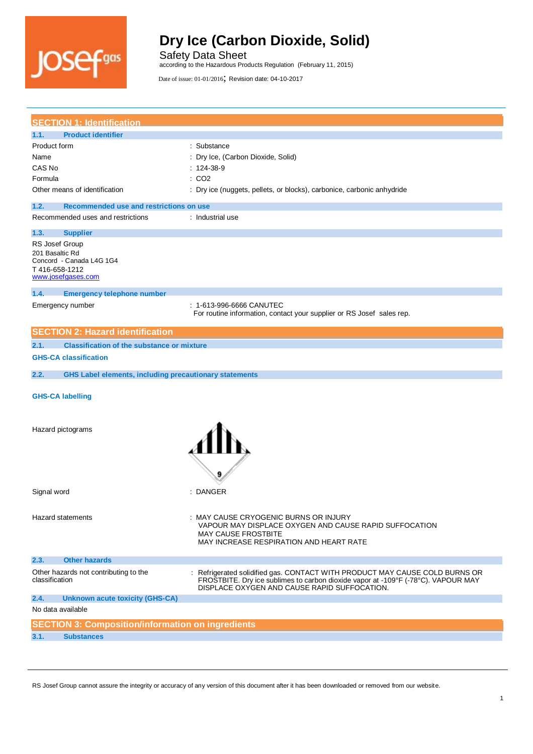

Safety Data Sheet according to the Hazardous Products Regulation (February 11, 2015)

Date of issue: 01-01/2016; Revision date: 04-10-2017

| <b>SECTION 1: Identification</b>                                      |                                                                                                                                                                                                                |
|-----------------------------------------------------------------------|----------------------------------------------------------------------------------------------------------------------------------------------------------------------------------------------------------------|
| <b>Product identifier</b><br>1.1.                                     |                                                                                                                                                                                                                |
| Product form                                                          | : Substance                                                                                                                                                                                                    |
| Name                                                                  | : Dry Ice, (Carbon Dioxide, Solid)                                                                                                                                                                             |
| CAS No                                                                | $: 124-38-9$                                                                                                                                                                                                   |
| Formula                                                               | : CO2                                                                                                                                                                                                          |
| Other means of identification                                         | : Dry ice (nuggets, pellets, or blocks), carbonice, carbonic anhydride                                                                                                                                         |
| 1.2.<br>Recommended use and restrictions on use                       |                                                                                                                                                                                                                |
| Recommended uses and restrictions                                     | : Industrial use                                                                                                                                                                                               |
| 1.3.<br><b>Supplier</b>                                               |                                                                                                                                                                                                                |
| RS Josef Group                                                        |                                                                                                                                                                                                                |
| 201 Basaltic Rd<br>Concord - Canada L4G 1G4                           |                                                                                                                                                                                                                |
| T 416-658-1212                                                        |                                                                                                                                                                                                                |
| www.josefgases.com                                                    |                                                                                                                                                                                                                |
| 1.4.<br><b>Emergency telephone number</b>                             |                                                                                                                                                                                                                |
| Emergency number                                                      | : 1-613-996-6666 CANUTEC                                                                                                                                                                                       |
|                                                                       | For routine information, contact your supplier or RS Josef sales rep.                                                                                                                                          |
|                                                                       |                                                                                                                                                                                                                |
| <b>SECTION 2: Hazard identification</b>                               |                                                                                                                                                                                                                |
| <b>Classification of the substance or mixture</b><br>2.1.             |                                                                                                                                                                                                                |
| <b>GHS-CA classification</b>                                          |                                                                                                                                                                                                                |
| 2.2.<br><b>GHS Label elements, including precautionary statements</b> |                                                                                                                                                                                                                |
| <b>GHS-CA labelling</b>                                               |                                                                                                                                                                                                                |
| Hazard pictograms                                                     |                                                                                                                                                                                                                |
|                                                                       |                                                                                                                                                                                                                |
| Signal word                                                           | : DANGER                                                                                                                                                                                                       |
| <b>Hazard statements</b>                                              | : MAY CAUSE CRYOGENIC BURNS OR INJURY<br>VAPOUR MAY DISPLACE OXYGEN AND CAUSE RAPID SUFFOCATION<br><b>MAY CAUSE FROSTBITE</b><br>MAY INCREASE RESPIRATION AND HEART RATE                                       |
| 2.3.<br><b>Other hazards</b>                                          |                                                                                                                                                                                                                |
| Other hazards not contributing to the<br>classification               | Refrigerated solidified gas. CONTACT WITH PRODUCT MAY CAUSE COLD BURNS OR<br>FROSTBITE. Dry ice sublimes to carbon dioxide vapor at -109°F (-78°C). VAPOUR MAY<br>DISPLACE OXYGEN AND CAUSE RAPID SUFFOCATION. |
| 2.4.<br><b>Unknown acute toxicity (GHS-CA)</b>                        |                                                                                                                                                                                                                |
| No data available                                                     |                                                                                                                                                                                                                |
| <b>SECTION 3: Composition/information on ingredients</b>              |                                                                                                                                                                                                                |
| <b>Substances</b><br>3.1.                                             |                                                                                                                                                                                                                |
|                                                                       |                                                                                                                                                                                                                |

RS Josef Group cannot assure the integrity or accuracy of any version of this document after it has been downloaded or removed from our website.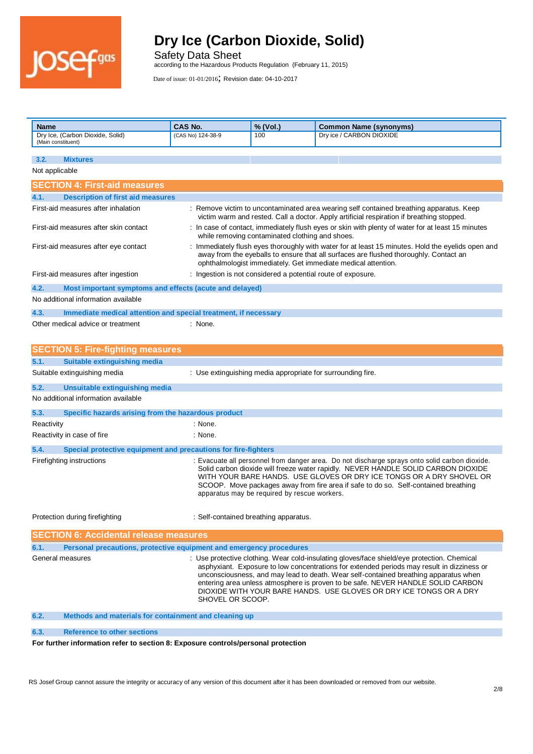

Safety Data Sheet according to the Hazardous Products Regulation (February 11, 2015)

Date of issue: 01-01/2016; Revision date: 04-10-2017

| Dry ice / CARBON DIOXIDE<br>Dry Ice, (Carbon Dioxide, Solid)<br>100<br>(CAS No) 124-38-9<br>(Main constituent)<br>3.2.<br><b>Mixtures</b><br>Not applicable<br><b>SECTION 4: First-aid measures</b><br>4.1.<br><b>Description of first aid measures</b><br>First-aid measures after inhalation<br>: Remove victim to uncontaminated area wearing self contained breathing apparatus. Keep<br>victim warm and rested. Call a doctor. Apply artificial respiration if breathing stopped.<br>In case of contact, immediately flush eyes or skin with plenty of water for at least 15 minutes<br>First-aid measures after skin contact<br>while removing contaminated clothing and shoes.<br>: Immediately flush eyes thoroughly with water for at least 15 minutes. Hold the eyelids open and<br>First-aid measures after eye contact<br>away from the eyeballs to ensure that all surfaces are flushed thoroughly. Contact an<br>ophthalmologist immediately. Get immediate medical attention.<br>: Ingestion is not considered a potential route of exposure.<br>First-aid measures after ingestion<br>4.2.<br>Most important symptoms and effects (acute and delayed)<br>No additional information available<br>Immediate medical attention and special treatment, if necessary<br>4.3.<br>Other medical advice or treatment<br>: None.<br><b>SECTION 5: Fire-fighting measures</b><br>5.1.<br><b>Suitable extinguishing media</b><br>: Use extinguishing media appropriate for surrounding fire.<br>Suitable extinguishing media<br>5.2.<br>Unsuitable extinguishing media<br>No additional information available<br>5.3.<br>Specific hazards arising from the hazardous product<br>Reactivity<br>: None.<br>Reactivity in case of fire<br>: None.<br>5.4.<br>Special protective equipment and precautions for fire-fighters | <b>Name</b> | CAS No. | % (Vol.) | <b>Common Name (synonyms)</b> |
|-------------------------------------------------------------------------------------------------------------------------------------------------------------------------------------------------------------------------------------------------------------------------------------------------------------------------------------------------------------------------------------------------------------------------------------------------------------------------------------------------------------------------------------------------------------------------------------------------------------------------------------------------------------------------------------------------------------------------------------------------------------------------------------------------------------------------------------------------------------------------------------------------------------------------------------------------------------------------------------------------------------------------------------------------------------------------------------------------------------------------------------------------------------------------------------------------------------------------------------------------------------------------------------------------------------------------------------------------------------------------------------------------------------------------------------------------------------------------------------------------------------------------------------------------------------------------------------------------------------------------------------------------------------------------------------------------------------------------------------------------------------------------------------------------------------------------------|-------------|---------|----------|-------------------------------|
|                                                                                                                                                                                                                                                                                                                                                                                                                                                                                                                                                                                                                                                                                                                                                                                                                                                                                                                                                                                                                                                                                                                                                                                                                                                                                                                                                                                                                                                                                                                                                                                                                                                                                                                                                                                                                               |             |         |          |                               |
|                                                                                                                                                                                                                                                                                                                                                                                                                                                                                                                                                                                                                                                                                                                                                                                                                                                                                                                                                                                                                                                                                                                                                                                                                                                                                                                                                                                                                                                                                                                                                                                                                                                                                                                                                                                                                               |             |         |          |                               |
|                                                                                                                                                                                                                                                                                                                                                                                                                                                                                                                                                                                                                                                                                                                                                                                                                                                                                                                                                                                                                                                                                                                                                                                                                                                                                                                                                                                                                                                                                                                                                                                                                                                                                                                                                                                                                               |             |         |          |                               |
|                                                                                                                                                                                                                                                                                                                                                                                                                                                                                                                                                                                                                                                                                                                                                                                                                                                                                                                                                                                                                                                                                                                                                                                                                                                                                                                                                                                                                                                                                                                                                                                                                                                                                                                                                                                                                               |             |         |          |                               |
|                                                                                                                                                                                                                                                                                                                                                                                                                                                                                                                                                                                                                                                                                                                                                                                                                                                                                                                                                                                                                                                                                                                                                                                                                                                                                                                                                                                                                                                                                                                                                                                                                                                                                                                                                                                                                               |             |         |          |                               |
|                                                                                                                                                                                                                                                                                                                                                                                                                                                                                                                                                                                                                                                                                                                                                                                                                                                                                                                                                                                                                                                                                                                                                                                                                                                                                                                                                                                                                                                                                                                                                                                                                                                                                                                                                                                                                               |             |         |          |                               |
|                                                                                                                                                                                                                                                                                                                                                                                                                                                                                                                                                                                                                                                                                                                                                                                                                                                                                                                                                                                                                                                                                                                                                                                                                                                                                                                                                                                                                                                                                                                                                                                                                                                                                                                                                                                                                               |             |         |          |                               |
|                                                                                                                                                                                                                                                                                                                                                                                                                                                                                                                                                                                                                                                                                                                                                                                                                                                                                                                                                                                                                                                                                                                                                                                                                                                                                                                                                                                                                                                                                                                                                                                                                                                                                                                                                                                                                               |             |         |          |                               |
|                                                                                                                                                                                                                                                                                                                                                                                                                                                                                                                                                                                                                                                                                                                                                                                                                                                                                                                                                                                                                                                                                                                                                                                                                                                                                                                                                                                                                                                                                                                                                                                                                                                                                                                                                                                                                               |             |         |          |                               |
|                                                                                                                                                                                                                                                                                                                                                                                                                                                                                                                                                                                                                                                                                                                                                                                                                                                                                                                                                                                                                                                                                                                                                                                                                                                                                                                                                                                                                                                                                                                                                                                                                                                                                                                                                                                                                               |             |         |          |                               |
|                                                                                                                                                                                                                                                                                                                                                                                                                                                                                                                                                                                                                                                                                                                                                                                                                                                                                                                                                                                                                                                                                                                                                                                                                                                                                                                                                                                                                                                                                                                                                                                                                                                                                                                                                                                                                               |             |         |          |                               |
|                                                                                                                                                                                                                                                                                                                                                                                                                                                                                                                                                                                                                                                                                                                                                                                                                                                                                                                                                                                                                                                                                                                                                                                                                                                                                                                                                                                                                                                                                                                                                                                                                                                                                                                                                                                                                               |             |         |          |                               |
|                                                                                                                                                                                                                                                                                                                                                                                                                                                                                                                                                                                                                                                                                                                                                                                                                                                                                                                                                                                                                                                                                                                                                                                                                                                                                                                                                                                                                                                                                                                                                                                                                                                                                                                                                                                                                               |             |         |          |                               |
|                                                                                                                                                                                                                                                                                                                                                                                                                                                                                                                                                                                                                                                                                                                                                                                                                                                                                                                                                                                                                                                                                                                                                                                                                                                                                                                                                                                                                                                                                                                                                                                                                                                                                                                                                                                                                               |             |         |          |                               |
|                                                                                                                                                                                                                                                                                                                                                                                                                                                                                                                                                                                                                                                                                                                                                                                                                                                                                                                                                                                                                                                                                                                                                                                                                                                                                                                                                                                                                                                                                                                                                                                                                                                                                                                                                                                                                               |             |         |          |                               |
|                                                                                                                                                                                                                                                                                                                                                                                                                                                                                                                                                                                                                                                                                                                                                                                                                                                                                                                                                                                                                                                                                                                                                                                                                                                                                                                                                                                                                                                                                                                                                                                                                                                                                                                                                                                                                               |             |         |          |                               |
|                                                                                                                                                                                                                                                                                                                                                                                                                                                                                                                                                                                                                                                                                                                                                                                                                                                                                                                                                                                                                                                                                                                                                                                                                                                                                                                                                                                                                                                                                                                                                                                                                                                                                                                                                                                                                               |             |         |          |                               |
|                                                                                                                                                                                                                                                                                                                                                                                                                                                                                                                                                                                                                                                                                                                                                                                                                                                                                                                                                                                                                                                                                                                                                                                                                                                                                                                                                                                                                                                                                                                                                                                                                                                                                                                                                                                                                               |             |         |          |                               |
|                                                                                                                                                                                                                                                                                                                                                                                                                                                                                                                                                                                                                                                                                                                                                                                                                                                                                                                                                                                                                                                                                                                                                                                                                                                                                                                                                                                                                                                                                                                                                                                                                                                                                                                                                                                                                               |             |         |          |                               |
|                                                                                                                                                                                                                                                                                                                                                                                                                                                                                                                                                                                                                                                                                                                                                                                                                                                                                                                                                                                                                                                                                                                                                                                                                                                                                                                                                                                                                                                                                                                                                                                                                                                                                                                                                                                                                               |             |         |          |                               |
|                                                                                                                                                                                                                                                                                                                                                                                                                                                                                                                                                                                                                                                                                                                                                                                                                                                                                                                                                                                                                                                                                                                                                                                                                                                                                                                                                                                                                                                                                                                                                                                                                                                                                                                                                                                                                               |             |         |          |                               |
|                                                                                                                                                                                                                                                                                                                                                                                                                                                                                                                                                                                                                                                                                                                                                                                                                                                                                                                                                                                                                                                                                                                                                                                                                                                                                                                                                                                                                                                                                                                                                                                                                                                                                                                                                                                                                               |             |         |          |                               |
|                                                                                                                                                                                                                                                                                                                                                                                                                                                                                                                                                                                                                                                                                                                                                                                                                                                                                                                                                                                                                                                                                                                                                                                                                                                                                                                                                                                                                                                                                                                                                                                                                                                                                                                                                                                                                               |             |         |          |                               |
|                                                                                                                                                                                                                                                                                                                                                                                                                                                                                                                                                                                                                                                                                                                                                                                                                                                                                                                                                                                                                                                                                                                                                                                                                                                                                                                                                                                                                                                                                                                                                                                                                                                                                                                                                                                                                               |             |         |          |                               |
| : Evacuate all personnel from danger area. Do not discharge sprays onto solid carbon dioxide.<br>Firefighting instructions<br>Solid carbon dioxide will freeze water rapidly. NEVER HANDLE SOLID CARBON DIOXIDE<br>WITH YOUR BARE HANDS. USE GLOVES OR DRY ICE TONGS OR A DRY SHOVEL OR<br>SCOOP. Move packages away from fire area if safe to do so. Self-contained breathing<br>apparatus may be required by rescue workers.                                                                                                                                                                                                                                                                                                                                                                                                                                                                                                                                                                                                                                                                                                                                                                                                                                                                                                                                                                                                                                                                                                                                                                                                                                                                                                                                                                                                |             |         |          |                               |
| Self-contained breathing apparatus.<br>Protection during firefighting                                                                                                                                                                                                                                                                                                                                                                                                                                                                                                                                                                                                                                                                                                                                                                                                                                                                                                                                                                                                                                                                                                                                                                                                                                                                                                                                                                                                                                                                                                                                                                                                                                                                                                                                                         |             |         |          |                               |
| <b>SECTION 6: Accidental release measures</b>                                                                                                                                                                                                                                                                                                                                                                                                                                                                                                                                                                                                                                                                                                                                                                                                                                                                                                                                                                                                                                                                                                                                                                                                                                                                                                                                                                                                                                                                                                                                                                                                                                                                                                                                                                                 |             |         |          |                               |
| 6.1.<br>Personal precautions, protective equipment and emergency procedures                                                                                                                                                                                                                                                                                                                                                                                                                                                                                                                                                                                                                                                                                                                                                                                                                                                                                                                                                                                                                                                                                                                                                                                                                                                                                                                                                                                                                                                                                                                                                                                                                                                                                                                                                   |             |         |          |                               |
| General measures<br>: Use protective clothing. Wear cold-insulating gloves/face shield/eye protection. Chemical<br>asphyxiant. Exposure to low concentrations for extended periods may result in dizziness or<br>unconsciousness, and may lead to death. Wear self-contained breathing apparatus when<br>entering area unless atmosphere is proven to be safe. NEVER HANDLE SOLID CARBON<br>DIOXIDE WITH YOUR BARE HANDS. USE GLOVES OR DRY ICE TONGS OR A DRY<br>SHOVEL OR SCOOP.                                                                                                                                                                                                                                                                                                                                                                                                                                                                                                                                                                                                                                                                                                                                                                                                                                                                                                                                                                                                                                                                                                                                                                                                                                                                                                                                            |             |         |          |                               |
| 6.2.<br>Methods and materials for containment and cleaning up                                                                                                                                                                                                                                                                                                                                                                                                                                                                                                                                                                                                                                                                                                                                                                                                                                                                                                                                                                                                                                                                                                                                                                                                                                                                                                                                                                                                                                                                                                                                                                                                                                                                                                                                                                 |             |         |          |                               |

#### **6.3. Reference to other sections**

#### **For further information refer to section 8: Exposure controls/personal protection**

RS Josef Group cannot assure the integrity or accuracy of any version of this document after it has been downloaded or removed from our website.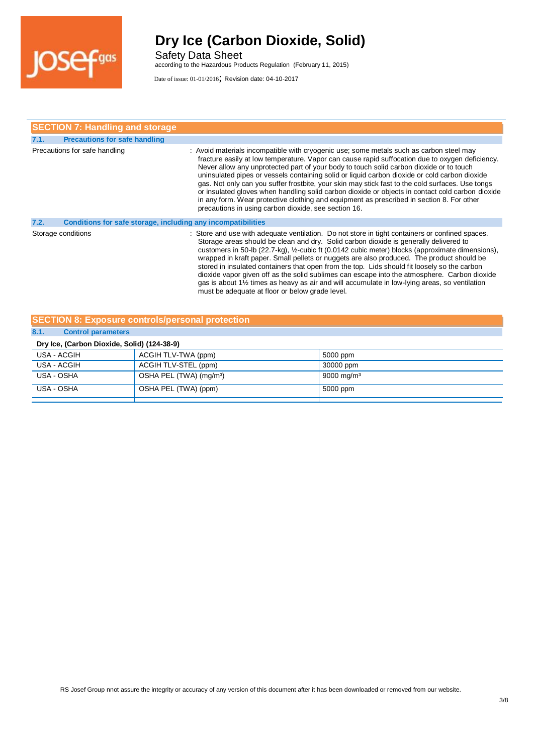

Safety Data Sheet according to the Hazardous Products Regulation (February 11, 2015)

|      | <b>SECTION 7: Handling and storage</b>                       |                                                                                                                                                                                                                                                                                                                                                                                                                                                                                                                                                                                                                                                                                                                                                     |
|------|--------------------------------------------------------------|-----------------------------------------------------------------------------------------------------------------------------------------------------------------------------------------------------------------------------------------------------------------------------------------------------------------------------------------------------------------------------------------------------------------------------------------------------------------------------------------------------------------------------------------------------------------------------------------------------------------------------------------------------------------------------------------------------------------------------------------------------|
| 7.1. | <b>Precautions for safe handling</b>                         |                                                                                                                                                                                                                                                                                                                                                                                                                                                                                                                                                                                                                                                                                                                                                     |
|      | Precautions for safe handling                                | : Avoid materials incompatible with cryogenic use; some metals such as carbon steel may<br>fracture easily at low temperature. Vapor can cause rapid suffocation due to oxygen deficiency.<br>Never allow any unprotected part of your body to touch solid carbon dioxide or to touch<br>uninsulated pipes or vessels containing solid or liquid carbon dioxide or cold carbon dioxide<br>gas. Not only can you suffer frostbite, your skin may stick fast to the cold surfaces. Use tongs<br>or insulated gloves when handling solid carbon dioxide or objects in contact cold carbon dioxide<br>in any form. Wear protective clothing and equipment as prescribed in section 8. For other<br>precautions in using carbon dioxide, see section 16. |
| 7.2. | Conditions for safe storage, including any incompatibilities |                                                                                                                                                                                                                                                                                                                                                                                                                                                                                                                                                                                                                                                                                                                                                     |
|      | Storage conditions                                           | : Store and use with adequate ventilation. Do not store in tight containers or confined spaces.<br>Storage areas should be clean and dry. Solid carbon dioxide is generally delivered to<br>customers in 50-lb (22.7-kg), 1/2-cubic ft (0.0142 cubic meter) blocks (approximate dimensions),<br>wrapped in kraft paper. Small pellets or nuggets are also produced. The product should be<br>stored in insulated containers that open from the top. Lids should fit loosely so the carbon<br>dioxide vapor given off as the solid sublimes can escape into the atmosphere. Carbon dioxide<br>gas is about 1½ times as heavy as air and will accumulate in low-lying areas, so ventilation<br>must be adequate at floor or below grade level.        |

#### **SECTION 8: Exposure controls/personal protection**

| 8.1.<br><b>Control parameters</b>           |                                     |                        |  |
|---------------------------------------------|-------------------------------------|------------------------|--|
| Dry Ice, (Carbon Dioxide, Solid) (124-38-9) |                                     |                        |  |
| USA - ACGIH                                 | ACGIH TLV-TWA (ppm)                 | 5000 ppm               |  |
| USA - ACGIH                                 | ACGIH TLV-STEL (ppm)                | 30000 ppm              |  |
| USA - OSHA                                  | OSHA PEL (TWA) (mg/m <sup>3</sup> ) | 9000 mg/m <sup>3</sup> |  |
| USA - OSHA                                  | OSHA PEL (TWA) (ppm)                | 5000 ppm               |  |
|                                             |                                     |                        |  |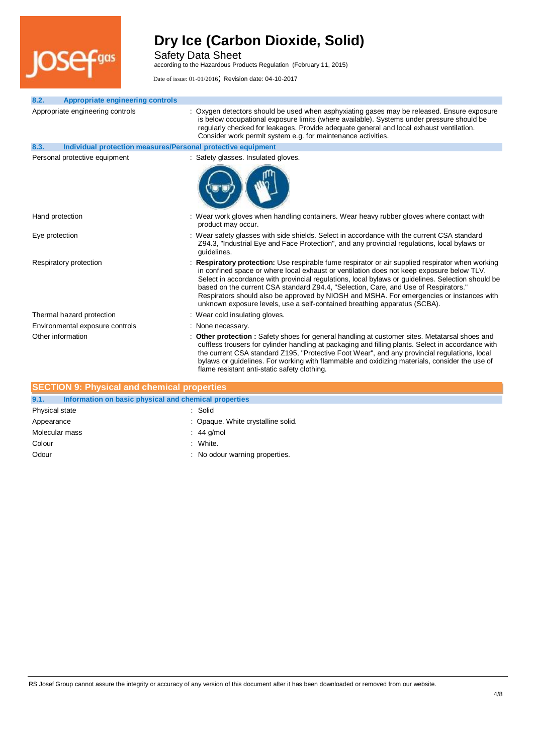

Safety Data Sheet

according to the Hazardous Products Regulation (February 11, 2015)

Date of issue: 01-01/2016; Revision date: 04-10-2017

| 8.2. | <b>Appropriate engineering controls</b>                      |                                                                                                                                                                                                                                                                                                                                                                                                                                                                                                                                                                    |
|------|--------------------------------------------------------------|--------------------------------------------------------------------------------------------------------------------------------------------------------------------------------------------------------------------------------------------------------------------------------------------------------------------------------------------------------------------------------------------------------------------------------------------------------------------------------------------------------------------------------------------------------------------|
|      | Appropriate engineering controls                             | : Oxygen detectors should be used when asphyxiating gases may be released. Ensure exposure<br>is below occupational exposure limits (where available). Systems under pressure should be<br>regularly checked for leakages. Provide adequate general and local exhaust ventilation.<br>Consider work permit system e.g. for maintenance activities.                                                                                                                                                                                                                 |
| 8.3. | Individual protection measures/Personal protective equipment |                                                                                                                                                                                                                                                                                                                                                                                                                                                                                                                                                                    |
|      | Personal protective equipment                                | : Safety glasses. Insulated gloves.                                                                                                                                                                                                                                                                                                                                                                                                                                                                                                                                |
|      |                                                              |                                                                                                                                                                                                                                                                                                                                                                                                                                                                                                                                                                    |
|      | Hand protection                                              | : Wear work gloves when handling containers. Wear heavy rubber gloves where contact with<br>product may occur.                                                                                                                                                                                                                                                                                                                                                                                                                                                     |
|      | Eye protection                                               | : Wear safety glasses with side shields. Select in accordance with the current CSA standard<br>Z94.3, "Industrial Eye and Face Protection", and any provincial regulations, local bylaws or<br>quidelines.                                                                                                                                                                                                                                                                                                                                                         |
|      | Respiratory protection                                       | : Respiratory protection: Use respirable fume respirator or air supplied respirator when working<br>in confined space or where local exhaust or ventilation does not keep exposure below TLV.<br>Select in accordance with provincial regulations, local bylaws or guidelines. Selection should be<br>based on the current CSA standard Z94.4, "Selection, Care, and Use of Respirators."<br>Respirators should also be approved by NIOSH and MSHA. For emergencies or instances with<br>unknown exposure levels, use a self-contained breathing apparatus (SCBA). |
|      | Thermal hazard protection                                    | : Wear cold insulating gloves.                                                                                                                                                                                                                                                                                                                                                                                                                                                                                                                                     |
|      | Environmental exposure controls                              | : None necessary.                                                                                                                                                                                                                                                                                                                                                                                                                                                                                                                                                  |
|      | Other information                                            | : Other protection : Safety shoes for general handling at customer sites. Metatarsal shoes and<br>cuffless trousers for cylinder handling at packaging and filling plants. Select in accordance with<br>the current CSA standard Z195, "Protective Foot Wear", and any provincial regulations, local<br>bylaws or guidelines. For working with flammable and oxidizing materials, consider the use of                                                                                                                                                              |

| <b>SECTION 9: Physical and chemical properties</b>            |                                    |
|---------------------------------------------------------------|------------------------------------|
| 9.1.<br>Information on basic physical and chemical properties |                                    |
| Physical state                                                | : Solid                            |
| Appearance                                                    | : Opaque. White crystalline solid. |
| Molecular mass                                                | $: 44$ g/mol                       |
| Colour                                                        | : White.                           |
| Odour                                                         | : No odour warning properties.     |

flame resistant anti-static safety clothing.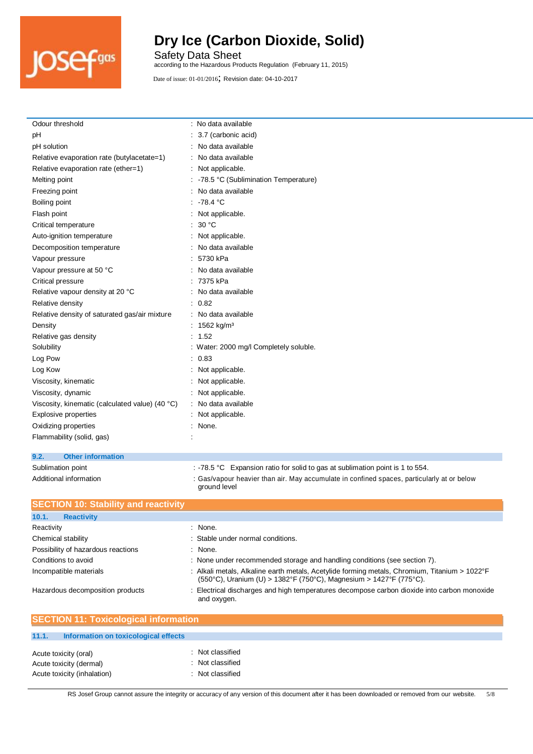

Safety Data Sheet according to the Hazardous Products Regulation (February 11, 2015)

| Odour threshold                                 | : No data available                    |
|-------------------------------------------------|----------------------------------------|
| рH                                              | : 3.7 (carbonic acid)                  |
| pH solution                                     | : No data available                    |
| Relative evaporation rate (butylacetate=1)      | : No data available                    |
| Relative evaporation rate (ether=1)             | : Not applicable.                      |
| Melting point                                   | : -78.5 °C (Sublimination Temperature) |
| Freezing point                                  | : No data available                    |
| Boiling point                                   | : $-78.4$ °C                           |
| Flash point                                     | : Not applicable.                      |
| Critical temperature                            | : $30^{\circ}$ C                       |
| Auto-ignition temperature                       | : Not applicable.                      |
| Decomposition temperature                       | : No data available                    |
| Vapour pressure                                 | : 5730 kPa                             |
| Vapour pressure at 50 °C                        | : No data available                    |
| Critical pressure                               | : 7375 kPa                             |
| Relative vapour density at 20 °C                | : No data available                    |
| Relative density                                | : 0.82                                 |
| Relative density of saturated gas/air mixture   | : No data available                    |
| Density                                         | : 1562 kg/m <sup>3</sup>               |
| Relative gas density                            | : 1.52                                 |
| Solubility                                      | : Water: 2000 mg/l Completely soluble. |
| Log Pow                                         | : 0.83                                 |
| Log Kow                                         | : Not applicable.                      |
| Viscosity, kinematic                            | Not applicable.                        |
| Viscosity, dynamic                              | : Not applicable.                      |
| Viscosity, kinematic (calculated value) (40 °C) | : No data available                    |
| Explosive properties                            | : Not applicable.                      |
| Oxidizing properties                            | : None.                                |
| Flammability (solid, gas)                       |                                        |
|                                                 |                                        |

#### **9.2. Other information**

Sublimation point : -78.5 °C Expansion ratio for solid to gas at sublimation point is 1 to 554.

Additional information **incomation** : Gas/vapour heavier than air. May accumulate in confined spaces, particularly at or below ground level

| <b>SECTION 10: Stability and reactivity</b> |                                                                                                                                                                     |
|---------------------------------------------|---------------------------------------------------------------------------------------------------------------------------------------------------------------------|
| 10.1.<br><b>Reactivity</b>                  |                                                                                                                                                                     |
| Reactivity                                  | : None.                                                                                                                                                             |
| Chemical stability                          | : Stable under normal conditions.                                                                                                                                   |
| Possibility of hazardous reactions          | $:$ None.                                                                                                                                                           |
| Conditions to avoid                         | : None under recommended storage and handling conditions (see section 7).                                                                                           |
| Incompatible materials                      | : Alkali metals, Alkaline earth metals, Acetylide forming metals, Chromium, Titanium > 1022°F<br>(550°C), Uranium (U) > 1382°F (750°C), Magnesium > 1427°F (775°C). |
| Hazardous decomposition products            | : Electrical discharges and high temperatures decompose carbon dioxide into carbon monoxide<br>and oxygen.                                                          |

| <b>SECTION 11: Toxicological information</b>                                    |                                                          |
|---------------------------------------------------------------------------------|----------------------------------------------------------|
| 11.1.<br>Information on toxicological effects                                   |                                                          |
| Acute toxicity (oral)<br>Acute toxicity (dermal)<br>Acute toxicity (inhalation) | : Not classified<br>: Not classified<br>: Not classified |

RS Josef Group cannot assure the integrity or accuracy of any version of this document after it has been downloaded or removed from our website. 5/8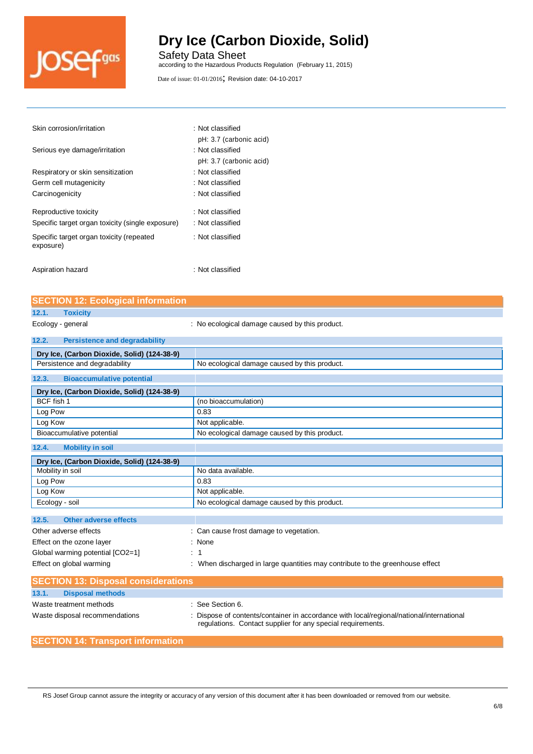

Safety Data Sheet according to the Hazardous Products Regulation (February 11, 2015)

Date of issue: 01-01/2016; Revision date: 04-10-2017

| Skin corrosion/irritation                             | : Not classified        |
|-------------------------------------------------------|-------------------------|
|                                                       | pH: 3.7 (carbonic acid) |
| Serious eye damage/irritation                         | $\,$ : Not classified   |
|                                                       | pH: 3.7 (carbonic acid) |
| Respiratory or skin sensitization                     | : Not classified        |
| Germ cell mutagenicity                                | : Not classified        |
| Carcinogenicity                                       | : Not classified        |
| Reproductive toxicity                                 | : Not classified        |
| Specific target organ toxicity (single exposure)      | : Not classified        |
| Specific target organ toxicity (repeated<br>exposure) | : Not classified        |
| Aspiration hazard                                     | : Not classified        |

**SECTION 12: Ecological information 12.1. Toxicity** Ecology - general interval in the cological damage caused by this product. **12.2. Persistence and degradability Dry Ice, (Carbon Dioxide, Solid) (124-38-9)** Persistence and degradability No ecological damage caused by this product. **12.3. Bioaccumulative potential Dry Ice, (Carbon Dioxide, Solid) (124-38-9)** BCF fish 1 (no bioaccumulation) Log Pow 2.63 Log Kow Not applicable. Bioaccumulative potential No ecological damage caused by this product. **12.4. Mobility in soil Dry Ice, (Carbon Dioxide, Solid) (124-38-9)** Mobility in soil No data available. Log Pow 2012 10:00 0.83 Log Kow **Not applicable.** Not applicable. Ecology - soil No ecological damage caused by this product. **12.5. Other adverse effects** Other adverse effects in the cause from the cause frost damage to vegetation. Effect on the ozone layer **in the set of the one of the set of the set of the set of the set of the set of the set of the set of the set of the set of the set of the set of the set of the set of the set of the set of the s** Global warming potential [CO2=1] : 1 Effect on global warming : When discharged in large quantities may contribute to the greenhouse effect **SECTION 13: Disposal considerations 13.1. Disposal methods** Waste treatment methods  $\qquad \qquad$ : See Section 6. Waste disposal recommendations : Dispose of contents/container in accordance with local/regional/national/international regulations. Contact supplier for any special requirements.

#### **SECTION 14: Transport information**

RS Josef Group cannot assure the integrity or accuracy of any version of this document after it has been downloaded or removed from our website.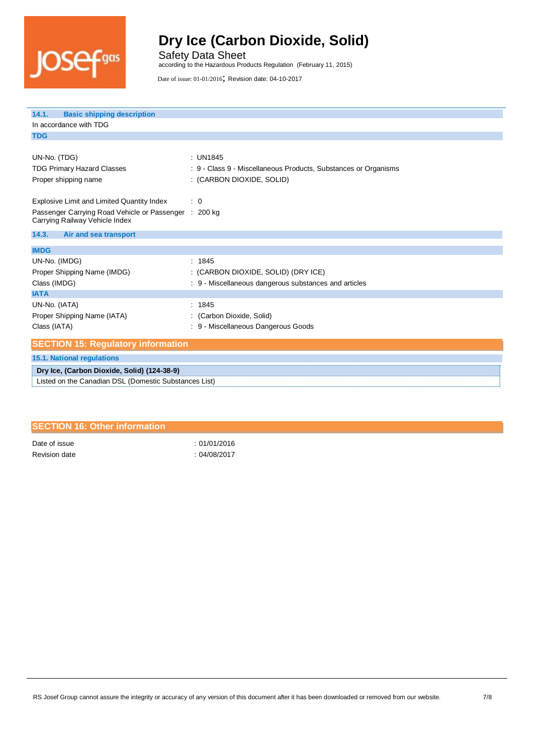

Safety Data Sheet according to the Hazardous Products Regulation (February 11, 2015)

Date of issue: 01-01/2016; Revision date: 04-10-2017

| <b>Basic shipping description</b><br>14.1.<br>In accordance with TDG                    |                                                                 |
|-----------------------------------------------------------------------------------------|-----------------------------------------------------------------|
| <b>TDG</b>                                                                              |                                                                 |
|                                                                                         |                                                                 |
| UN-No. (TDG)                                                                            | : UN1845                                                        |
| <b>TDG Primary Hazard Classes</b>                                                       | : 9 - Class 9 - Miscellaneous Products, Substances or Organisms |
| Proper shipping name                                                                    | : (CARBON DIOXIDE, SOLID)                                       |
|                                                                                         |                                                                 |
| Explosive Limit and Limited Quantity Index                                              | $\therefore$ 0                                                  |
| Passenger Carrying Road Vehicle or Passenger : 200 kg<br>Carrying Railway Vehicle Index |                                                                 |
| 14.3.<br>Air and sea transport                                                          |                                                                 |
| <b>IMDG</b>                                                                             |                                                                 |
| UN-No. (IMDG)                                                                           | : 1845                                                          |
| Proper Shipping Name (IMDG)                                                             | : (CARBON DIOXIDE, SOLID) (DRY ICE)                             |
| Class (IMDG)                                                                            | : 9 - Miscellaneous dangerous substances and articles           |
| <b>IATA</b>                                                                             |                                                                 |
| UN-No. (IATA)                                                                           | : 1845                                                          |
| Proper Shipping Name (IATA)                                                             | : (Carbon Dioxide, Solid)                                       |
| Class (IATA)                                                                            | 9 - Miscellaneous Dangerous Goods                               |
| <b>SECTION 15: Regulatory information</b>                                               |                                                                 |
| <b>15.1. National regulations</b>                                                       |                                                                 |
| Dry Ice, (Carbon Dioxide, Solid) (124-38-9)                                             |                                                                 |
| Listed on the Canadian DSL (Domestic Substances List)                                   |                                                                 |

| <b>SECTION 16: Other information</b> |              |
|--------------------------------------|--------------|
| Date of issue                        | :01/01/2016  |
| Revision date                        | : 04/08/2017 |